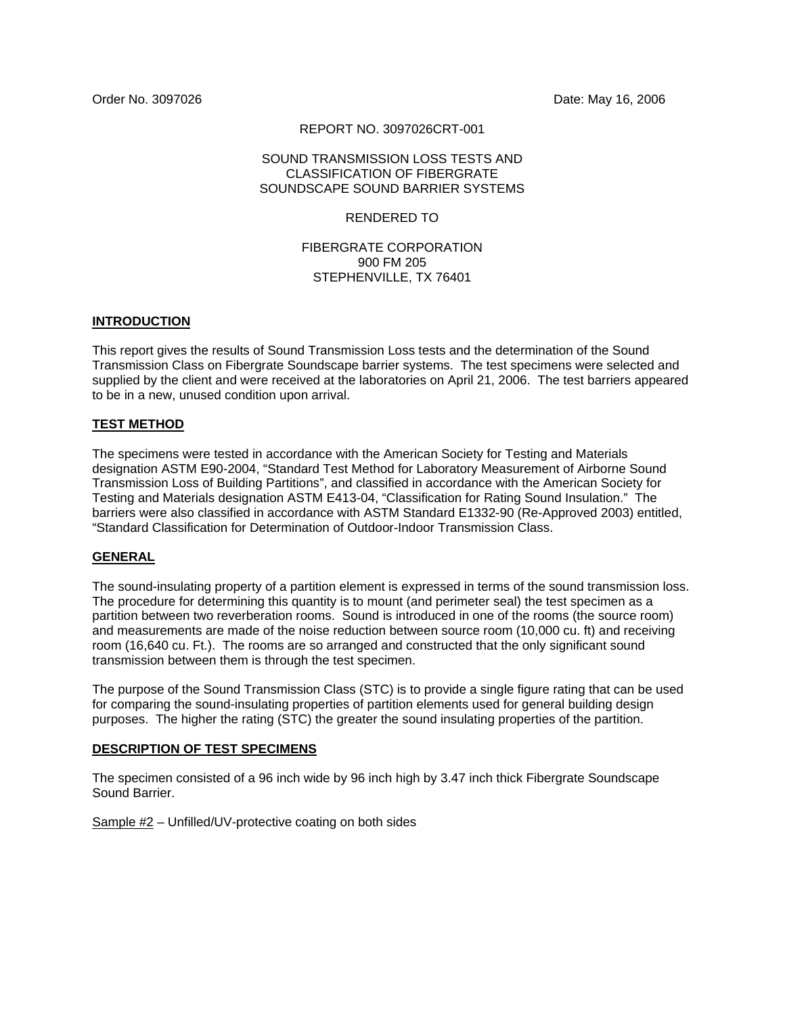Order No. 3097026 Date: May 16, 2006

### REPORT NO. 3097026CRT-001

### SOUND TRANSMISSION LOSS TESTS AND CLASSIFICATION OF FIBERGRATE SOUNDSCAPE SOUND BARRIER SYSTEMS

### RENDERED TO

### FIBERGRATE CORPORATION 900 FM 205 STEPHENVILLE, TX 76401

### **INTRODUCTION**

This report gives the results of Sound Transmission Loss tests and the determination of the Sound Transmission Class on Fibergrate Soundscape barrier systems. The test specimens were selected and supplied by the client and were received at the laboratories on April 21, 2006. The test barriers appeared to be in a new, unused condition upon arrival.

### **TEST METHOD**

The specimens were tested in accordance with the American Society for Testing and Materials designation ASTM E90-2004, "Standard Test Method for Laboratory Measurement of Airborne Sound Transmission Loss of Building Partitions", and classified in accordance with the American Society for Testing and Materials designation ASTM E413-04, "Classification for Rating Sound Insulation." The barriers were also classified in accordance with ASTM Standard E1332-90 (Re-Approved 2003) entitled, "Standard Classification for Determination of Outdoor-Indoor Transmission Class.

### **GENERAL**

The sound-insulating property of a partition element is expressed in terms of the sound transmission loss. The procedure for determining this quantity is to mount (and perimeter seal) the test specimen as a partition between two reverberation rooms. Sound is introduced in one of the rooms (the source room) and measurements are made of the noise reduction between source room (10,000 cu. ft) and receiving room (16,640 cu. Ft.). The rooms are so arranged and constructed that the only significant sound transmission between them is through the test specimen.

The purpose of the Sound Transmission Class (STC) is to provide a single figure rating that can be used for comparing the sound-insulating properties of partition elements used for general building design purposes. The higher the rating (STC) the greater the sound insulating properties of the partition.

### **DESCRIPTION OF TEST SPECIMENS**

The specimen consisted of a 96 inch wide by 96 inch high by 3.47 inch thick Fibergrate Soundscape Sound Barrier.

Sample #2 – Unfilled/UV-protective coating on both sides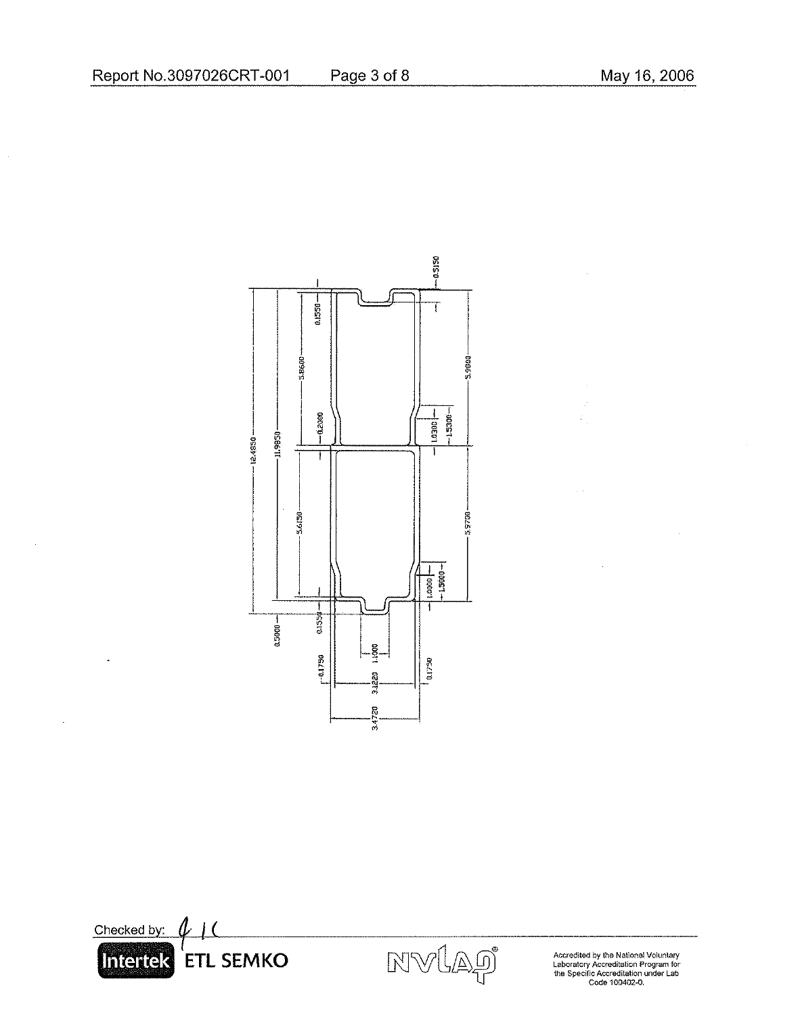$\hat{\mathcal{A}}$ 

 $\bar{\alpha}$ 

 $\overline{\phantom{a}}$ 

# $-0.5150$ 0.1550-T -3.8600-3.9800  $-15300 -$  00601  $-0.2000$ 11,9850 124850-T Ţ 5.6150-5,9700  $-1.5600 1.0001 -$ T  $0.1559 0.5000 -$ 1.1000  $-0.1750$ 0.1750 3.1220 3.4720





Accredited by the National Voluntary<br>Laboratory Accreditation Program for<br>the Specific Accreditation under Lab<br>Code 100402-0.

Page 3 of 8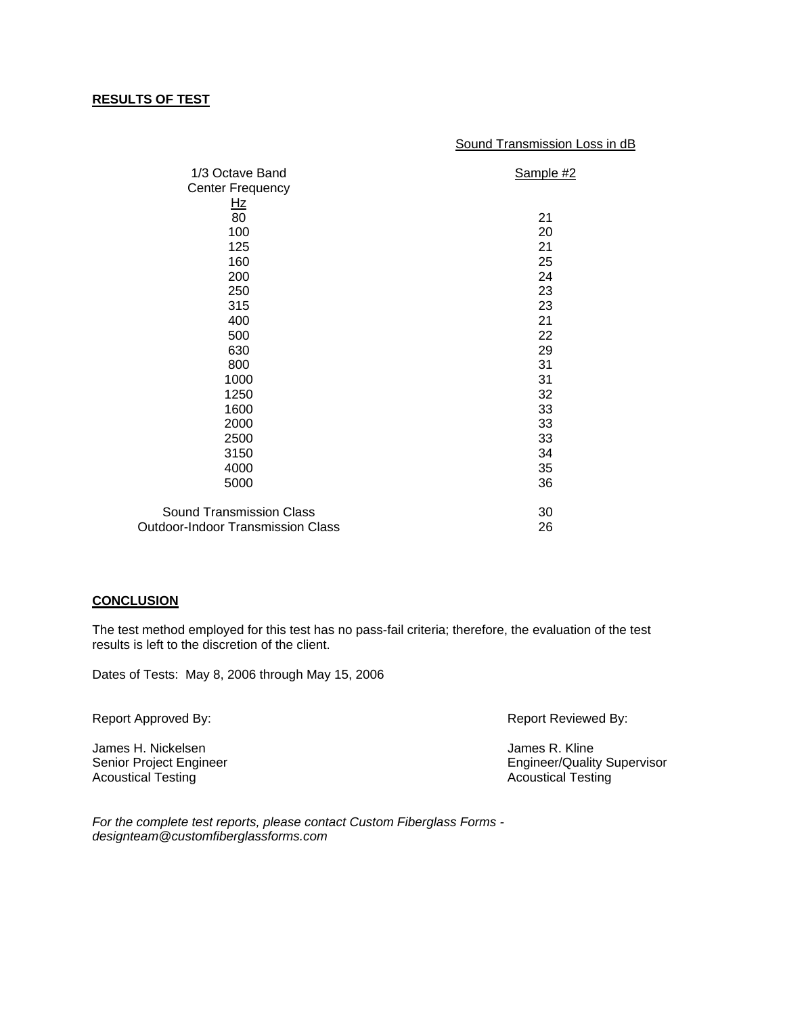### **RESULTS OF TEST**

#### Sound Transmission Loss in dB

| 1/3 Octave Band                          | Sample #2 |
|------------------------------------------|-----------|
| <b>Center Frequency</b>                  |           |
| Hz                                       |           |
| $\overline{80}$                          | 21        |
| 100                                      | 20        |
| 125                                      | 21        |
| 160                                      | 25        |
| 200                                      | 24        |
| 250                                      | 23        |
| 315                                      | 23        |
| 400                                      | 21        |
| 500                                      | 22        |
| 630                                      | 29        |
| 800                                      | 31        |
| 1000                                     | 31        |
| 1250                                     | 32        |
| 1600                                     | 33        |
| 2000                                     | 33        |
| 2500                                     | 33        |
| 3150                                     | 34        |
| 4000                                     | 35        |
| 5000                                     | 36        |
| <b>Sound Transmission Class</b>          | 30        |
| <b>Outdoor-Indoor Transmission Class</b> | 26        |

#### **CONCLUSION**

The test method employed for this test has no pass-fail criteria; therefore, the evaluation of the test results is left to the discretion of the client.

Dates of Tests: May 8, 2006 through May 15, 2006

Report Approved By:  $\blacksquare$  Report Reviewed By:

James H. Nickelsen and South and South America Communist Communist Communist Communist Communist Communist Comm<br>
Senior Project Engineer Acoustical Testing **Acoustical Testing** Acoustical Testing

**Engineer/Quality Supervisor** 

*For the complete test reports, please contact Custom Fiberglass Forms designteam@customfiberglassforms.com*